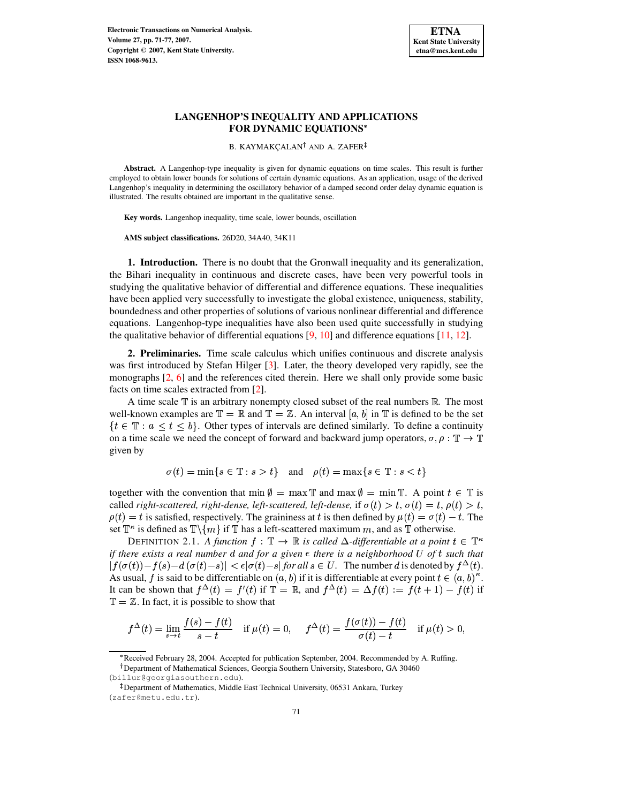

# **LANGENHOP'S INEQUALITY AND APPLICATIONS FOR DYNAMIC EQUATIONS**

B. KAYMAKÇALAN<sup>†</sup> AND A. ZAFER

**Abstract.** A Langenhop-type inequality is given for dynamic equations on time scales. This result is further employed to obtain lower bounds for solutions of certain dynamic equations. As an application, usage of the derived Langenhop's inequality in determining the oscillatory behavior of a damped second order delay dynamic equation is illustrated. The results obtained are important in the qualitative sense.

**Key words.** Langenhop inequality, time scale, lower bounds, oscillation

**AMS subject classifications.** 26D20, 34A40, 34K11

**1. Introduction.** There is no doubt that the Gronwall inequality and its generalization, the Bihari inequality in continuous and discrete cases, have been very powerful tools in studying the qualitative behavior of differential and difference equations. These inequalities have been applied very successfully to investigate the global existence, uniqueness, stability, boundedness and other properties of solutions of various nonlinear differential and difference equations. Langenhop-type inequalities have also been used quite successfully in studying the qualitative behavior of differential equations  $[9, 10]$  $[9, 10]$  $[9, 10]$  and difference equations  $[11, 12]$  $[11, 12]$  $[11, 12]$ .

**2. Preliminaries.** Time scale calculus which unifies continuous and discrete analysis was first introduced by Stefan Hilger [\[3\]](#page-6-4). Later, the theory developed very rapidly, see the monographs [\[2,](#page-6-5) [6\]](#page-6-6) and the references cited therein. Here we shall only provide some basic facts on time scales extracted from [\[2\]](#page-6-5).

A time scale  $\mathbb T$  is an arbitrary nonempty closed subset of the real numbers  $\mathbb R$ . The most well-known examples are  $\mathbb{T} = \mathbb{R}$  and  $\mathbb{T} = \mathbb{Z}$ . An interval  $[a, b]$  in  $\mathbb{T}$  is defined to be the set  $\{t \in \mathbb{T} : a \leq t \leq b\}$ . Other types of intervals are defined similarly. To define a continuity on a time scale we need the concept of forward and backward jump operators,  $\sigma, \rho : \mathbb{T} \to \mathbb{T}$ given by

$$
\sigma(t) = \min\{s \in \mathbb{T} : s > t\} \quad \text{and} \quad \rho(t) = \max\{s \in \mathbb{T} : s < t\}
$$

together with the convention that  $\min \emptyset = \max \mathbb{T}$  and  $\max \emptyset = \min \mathbb{T}$ . A point  $t \in \mathbb{T}$  is called right-scattered, right-dense, left-scattered, left-dense, if  $\sigma(t) > t$ ,  $\sigma(t) = t$ ,  $\rho(t) > t$ ,  $\rho(t) = t$  is satisfied, respectively. The graininess at t is then defined by  $\mu(t) = \sigma(t) - t$ . The set  $\mathbb{T}^{\kappa}$  is defined as  $\mathbb{T}\setminus\{m\}$  if  $\mathbb{T}$  has a left-scattered maximum m, and as  $\mathbb{T}$  otherwise.

DEFINITION 2.1. *A function*  $f : \mathbb{T} \to \mathbb{R}$  *is called*  $\Delta$ -differentiable at a point  $t \in \mathbb{T}^{\kappa}$ *if* there exists a real number d and for a given  $\epsilon$  there is a neighborhood U of t such that  $|f(\sigma(t)) - f(s) - d(\sigma(t) - s)| < \epsilon |\sigma(t) - s|$  for all  $s \in U$ . The number d is denoted by  $f^{\Delta}(t)$ . As usual, f is said to be differentiable on  $(a, b)$  if it is differentiable at every point  $t \in (a, b)^{\kappa}$ . It can be shown that  $f^{\Delta}(t) = f'(t)$  if  $\mathbb{T} = \mathbb{R}$ , and  $f^{\Delta}(t) = \Delta f(t) := f(t+1) - f(t)$  if  $\mathbb{T} = \mathbb{Z}$ . In fact, it is possible to show that

$$
f^{\Delta}(t) = \lim_{s \to t} \frac{f(s) - f(t)}{s - t} \quad \text{if } \mu(t) = 0, \quad f^{\Delta}(t) = \frac{f(\sigma(t)) - f(t)}{\sigma(t) - t} \quad \text{if } \mu(t) > 0,
$$

s Received February 28, 2004. Accepted for publication September, 2004. Recommended by A. Ruffing.

Department of Mathematical Sciences, Georgia Southern University, Statesboro, GA 30460 (billur@georgiasouthern.edu).

<sup>-</sup> Department of Mathematics, Middle East Technical University, 06531 Ankara, Turkey (zafer@metu.edu.tr).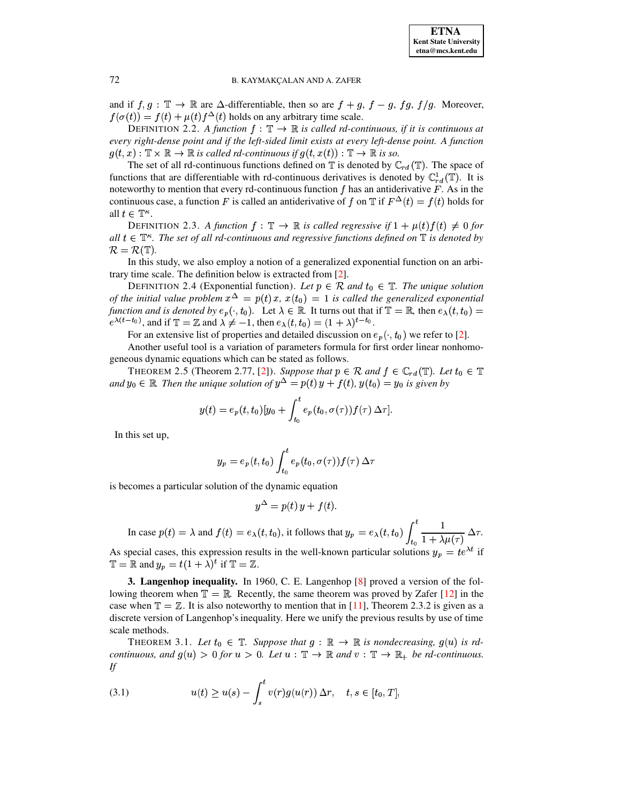

### 72 B. KAYMAKCALAN AND A. ZAFER

and if  $f, g: \mathbb{T} \to \mathbb{R}$  are  $\Delta$ -differentiable, then so are  $f + g, f - g, fg, f/g$ . Moreover,  $f(\sigma(t)) = f(t) + \mu(t) f^{\Delta}(t)$  holds on any arbitrary time scale.

DEFINITION 2.2. A function  $f : \mathbb{T} \to \mathbb{R}$  is called rd-continuous, if it is continuous at *every right-dense point and if the left-sided limit exists at every left-dense point. A function*  $g(t,x): \mathbb{T} \times \mathbb{R} \to \mathbb{R}$  is called rd-continuous if  $g(t,x(t)): \mathbb{T} \to \mathbb{R}$  is so.

The set of all rd-continuous functions defined on  $\mathbb T$  is denoted by  $\mathbb C_{rd}(\mathbb T)$ . The space of functions that are differentiable with rd-continuous derivatives is denoted by  $\mathbb{C}_r^1({\mathbb{T}})$ . It is noteworthy to mention that every rd-continuous function  $f$  has an antiderivative  $F$ . As in the continuous case, a function F is called an antiderivative of f on  $\mathbb T$  if  $F^{\Delta}(t) = f(t)$  holds for all  $t \in \mathbb{T}^{\kappa}$ .

DEFINITION 2.3. A function  $f: \mathbb{T} \to \mathbb{R}$  is called regressive if  $1 + \mu(t)f(t) \neq 0$  for  $all \ t \in \mathbb{T}^{\kappa}$ . The set of all rd-continuous and regressive functions defined on  $\mathbb{T}$  is denoted by  $\mathcal{R} = \mathcal{R}(\mathbb{T}).$ 

In this study, we also employ a notion of a generalized exponential function on an arbitrary time scale. The definition below is extracted from [\[2\]](#page-6-5).

DEFINITION 2.4 (Exponential function). Let  $p \in \mathcal{R}$  and  $t_0 \in \mathbb{T}$ . The unique solution *of the initial value problem*  $x^{\Delta} = p(t) x$ ,  $x(t_0) = 1$  *is called the generalized exponential function and is denoted by*  $e_p(\cdot, t_0)$ . Let  $\lambda \in \mathbb{R}$ . It turns out that if  $\mathbb{T} = \mathbb{R}$ , then  $e_\lambda(t, t_0) =$  $e^{\lambda(t-t_0)}$ , and if  $\mathbb{T} = \mathbb{Z}$  and  $\lambda \neq -1$ , then  $e_\lambda(t,t_0) = (1+\lambda)^{t-t_0}$ .

For an extensive list of properties and detailed discussion on  $e_p(\cdot, t_0)$  we refer to [\[2\]](#page-6-5).

Another useful tool is a variation of parameters formula for first order linear nonhomogeneous dynamic equations which can be stated as follows.

THEOREM 2.5 (Theorem 2.77, [\[2\]](#page-6-5)). *Suppose that*  $p \in \mathcal{R}$  and  $f \in \mathbb{C}_{rd}(\mathbb{T})$ . Let  $t_0 \in \mathbb{T}$ and  $y_0 \in \mathbb{R}$  Then the unique solution of  $y^{\Delta} = p(t) y + f(t)$ ,  $y(t_0) = y_0$  is given by

$$
y(t) = e_p(t, t_0)[y_0 + \int_{t_0}^t e_p(t_0, \sigma(\tau)) f(\tau) \Delta \tau].
$$

In this set up,

$$
y_p=e_p(t,t_0)\int_{t_0}^t e_p(t_0,\sigma(\tau))f(\tau)\,\Delta\tau
$$

is becomes a particular solution of the dynamic equation

$$
y^{\Delta} = p(t) y + f(t).
$$

In case  $p(t) = \lambda$  and  $f(t) = e_{\lambda}(t, t_0)$ , it follows that  $y_p = e_{\lambda}(t, t_0) \int_0^t \frac{1}{1 + (1 - \lambda)^2} \Delta \tau$ .  $\int_t^t \frac{1}{1 + \lambda u(\tau)} \Delta \tau.$ 

As special cases, this expression results in the well-known particular solutions  $y_p = te^{\lambda t}$  if  $\mathbb{T} = \mathbb{R}$  and  $y_p = t(1 + \lambda)^t$  if  $\mathbb{T} = \mathbb{Z}$ .

**3. Langenhop inequality.** In 1960, C. E. Langenhop [\[8\]](#page-6-7) proved a version of the following theorem when  $\mathbb{T} = \mathbb{R}$ . Recently, the same theorem was proved by Zafer [\[12\]](#page-6-3) in the case when  $\mathbb{T} = \mathbb{Z}$ . It is also noteworthy to mention that in [\[11\]](#page-6-2), Theorem 2.3.2 is given as a discrete version of Langenhop's inequality. Here we unify the previous results by use of time scale methods.

THEOREM 3.1. Let  $t_0 \in \mathbb{T}$ . Suppose that  $g : \mathbb{R} \to \mathbb{R}$  is nondecreasing,  $g(u)$  is rd*continuous, and*  $g(u) > 0$  *for*  $u > 0$ . Let  $u : \mathbb{T} \to \mathbb{R}$  and  $v : \mathbb{T} \to \mathbb{R}$  be rd-continuous. *If*

<span id="page-1-0"></span>(3.1) 
$$
u(t) \ge u(s) - \int_s^t v(r)g(u(r)) \Delta r, \quad t, s \in [t_0, T],
$$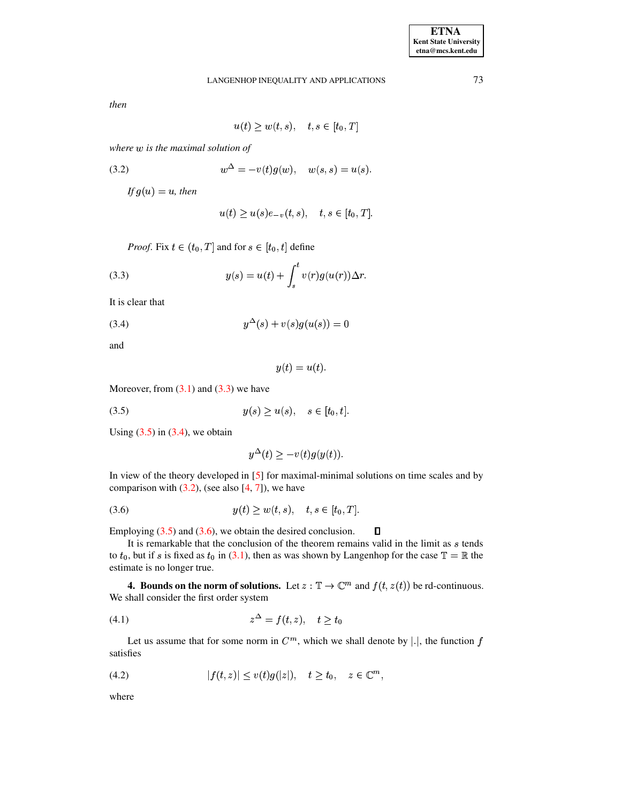*then*

$$
u(t) \ge w(t,s), \quad t,s \in [t_0,T]
$$

 $$ 

(3.2) 
$$
w^{\Delta} = -v(t)g(w), \quad w(s,s) = u(s).
$$

<span id="page-2-3"></span>*If*  $g(u) = u$ *, then* 

$$
u(t) \ge u(s)e_{-v}(t,s), \quad t,s \in [t_0,T].
$$

<span id="page-2-0"></span>*Proof.* Fix  $t \in (t_0, T]$  and for  $s \in [t_0, t]$  define

(3.3) 
$$
y(s) = u(t) + \int_s^t v(r)g(u(r))\Delta r.
$$

It is clear that

<span id="page-2-2"></span>(3.4) 
$$
y^{\Delta}(s) + v(s)g(u(s)) = 0
$$

and

$$
y(t) = u(t).
$$

Moreover, from  $(3.1)$  and  $(3.3)$  we have

<span id="page-2-1"></span>(3.5)  $y(s) \ge u(s), \quad s \in [t_0, t].$ 

Using  $(3.5)$  in  $(3.4)$ , we obtain

$$
y^{\Delta}(t) \ge -v(t)g(y(t)).
$$

In view of the theory developed in [\[5\]](#page-6-8) for maximal-minimal solutions on time scales and by comparison with  $(3.2)$ , (see also  $[4, 7]$  $[4, 7]$  $[4, 7]$ ), we have

<span id="page-2-4"></span>(3.6) 
$$
y(t) \ge w(t, s), \quad t, s \in [t_0, T].
$$

Employing (3.5) and [\(3.6\)](#page-2-4), we obtain the desired conclusion.  $\Box$ 

It is remarkable that the conclusion of the theorem remains valid in the limit as s tends to  $t_0$ , but if s is fixed as  $t_0$  in [\(3.1\)](#page-1-0), then as was shown by Langenhop for the case  $\mathbb{T} = \mathbb{R}$  the estimate is no longer true.

**4.** Bounds on the norm of solutions. Let  $z : \mathbb{T} \to \mathbb{C}^m$  and  $f(t, z(t))$  be rd-continuous. We shall consider the first order system

<span id="page-2-5"></span>
$$
(4.1) \t\t\t z^{\Delta} = f(t, z), \t t \ge t_0
$$

Let us assume that for some norm in  $C^m$ , which we shall denote by |.|, the function  $f$ satisfies

<span id="page-2-6"></span>
$$
(4.2) \t\t |f(t,z)| \leq v(t)g(|z|), \quad t \geq t_0, \quad z \in \mathbb{C}^m,
$$

where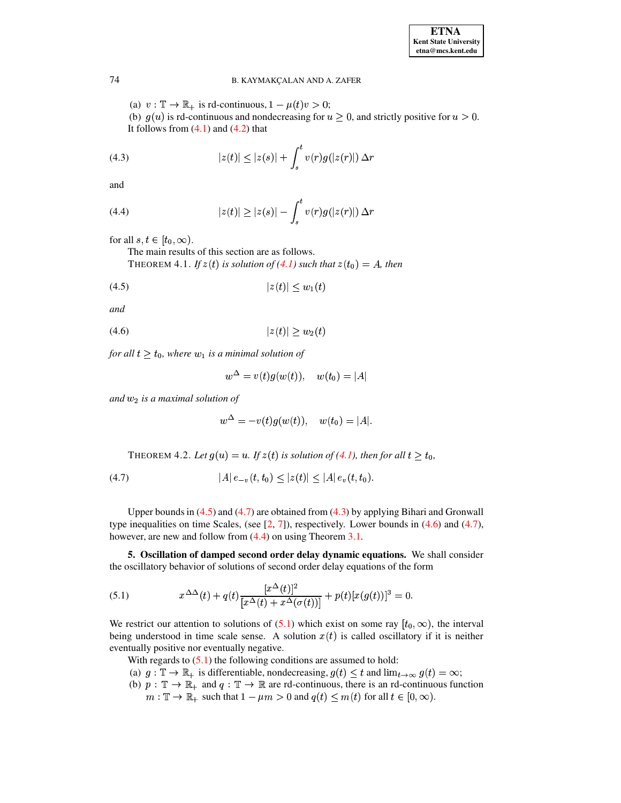## 74 B. KAYMAKCALAN AND A. ZAFER

(a)  $v: \mathbb{T} \to \mathbb{R}_+$  is rd-continuous,  $1 - \mu(t)v > 0$ ; (b)  $g(u)$  is rd-continuous and nondecreasing for  $u \ge 0$ , and strictly positive for  $u > 0$ . It follows from  $(4.1)$  and  $(4.2)$  that

<span id="page-3-2"></span>(4.3) 
$$
|z(t)| \le |z(s)| + \int_{s}^{t} v(r)g(|z(r)|) \Delta r
$$

and

<span id="page-3-4"></span>(4.4) 
$$
|z(t)| \geq |z(s)| - \int_{s}^{t} v(r)g(|z(r)|) \Delta r
$$

for all  $s, t \in [t_0, \infty)$ .

<span id="page-3-0"></span>The main results of this section are as follows. THEOREM 4.1. If  $z(t)$  is solution of [\(4.1\)](#page-2-5) such that  $z(t_0) = A$ , then

$$
(4.5) \t\t\t |z(t)| \le w_1(t)
$$

*and*

$$
(4.6) \t\t\t |z(t)| \ge w_2(t)
$$

*for all*  $t \geq t_0$ , where  $w_1$  *is a minimal solution of* 

<span id="page-3-3"></span>
$$
w^\Delta = v(t) g(w(t)), \quad w(t_0) = |A|
$$

 $and w<sub>2</sub>$  *is a maximal solution of* 

$$
w^\Delta = -v(t)g(w(t)), \quad w(t_0) = |A|.
$$

<span id="page-3-1"></span>THEOREM 4.2. Let  $g(u) = u$ . If  $z(t)$  is solution of [\(4.1\)](#page-2-5), then for all  $t \ge t_0$ ,

$$
(4.7) \t\t |A|e_{-v}(t,t_0) \leq |z(t)| \leq |A|e_v(t,t_0).
$$

Upper bounds in  $(4.5)$  and  $(4.7)$  are obtained from  $(4.3)$  by applying Bihari and Gronwall type inequalities on time Scales, (see  $[2, 7]$  $[2, 7]$  $[2, 7]$ ), respectively. Lower bounds in  $(4.6)$  and  $(4.7)$ , however, are new and follow from  $(4.4)$  on using Theorem [3.1.](#page-2-3)

**5. Oscillation of damped second order delay dynamic equations.** We shall consider the oscillatory behavior of solutions of second order delay equations of the form

<span id="page-3-5"></span>(5.1) 
$$
x^{\Delta\Delta}(t) + q(t) \frac{[x^{\Delta}(t)]^2}{[x^{\Delta}(t) + x^{\Delta}(\sigma(t))]^2} + p(t)[x(g(t))]^3 = 0.
$$

We restrict our attention to solutions of [\(5.1\)](#page-3-5) which exist on some ray  $[t_0, \infty)$ , the interval being understood in time scale sense. A solution  $x(t)$  is called oscillatory if it is neither eventually positive nor eventually negative.

With regards to  $(5.1)$  the following conditions are assumed to hold:

- (a)  $g: \mathbb{T} \to \mathbb{R}_+$  is differentiable, nondecreasing,  $g(t) \leq t$  and  $\lim_{t \to \infty} g(t) = \infty$ ;
- (b)  $p : \mathbb{T} \to \mathbb{R}_+$  and  $q : \mathbb{T} \to \mathbb{R}$  are rd-continuous, there is an rd-continuous function  $m: \mathbb{T} \to \mathbb{R}_+$  such that  $1 - \mu m > 0$  and  $q(t) \le m(t)$  for all  $t \in [0, \infty)$ .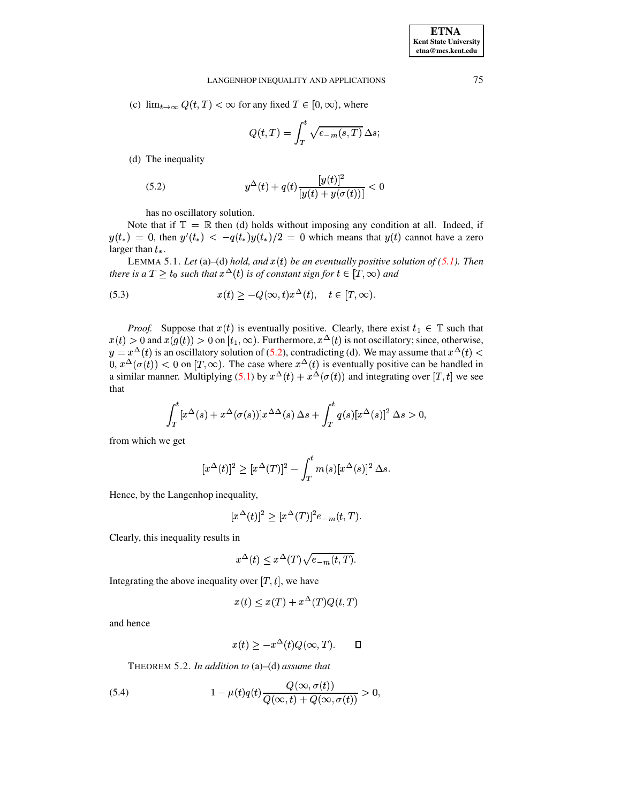### LANGENHOP INEQUALITY AND APPLICATIONS

(c)  $\lim_{t\to\infty} Q(t,T) < \infty$  for any fixed  $T \in [0,\infty)$ , where

$$
Q(t,T) = \int_T^t \sqrt{e_{-m}(s,T)} \,\Delta s;
$$

(d) The inequality

<span id="page-4-0"></span>(5.2) 
$$
y^{\Delta}(t) + q(t) \frac{[y(t)]^2}{[y(t) + y(\sigma(t))]^2} < 0
$$

has no oscillatory solution.

Note that if  $\mathbb{T} = \mathbb{R}$  then (d) holds without imposing any condition at all. Indeed, if  $y(t_*) = 0$ , then  $y'(t_*) < -q(t_*)y(t_*)/2 = 0$  which means that  $y(t)$  cannot have a zero larger than  $t_{*}$ .

LEMMA 5.1. Let (a)–(d) hold, and  $x(t)$  be an eventually positive solution of (5.1). Then there is a  $T \ge t_0$  such that  $x^{\Delta}(t)$  is of constant sign for  $t \in [T, \infty)$  and

<span id="page-4-2"></span>(5.3) 
$$
x(t) \ge -Q(\infty, t)x^{\Delta}(t), \quad t \in [T, \infty).
$$

*Proof.* Suppose that  $x(t)$  is eventually positive. Clearly, there exist  $t_1 \in \mathbb{T}$  such that  $x(t) > 0$  and  $x(g(t)) > 0$  on  $[t_1, \infty)$ . Furthermore,  $x^{\Delta}(t)$  is not oscillatory; since, otherwise,  $y = x^{\Delta}(t)$  is an oscillatory solution of (5.2), contradicting (d). We may assume that  $x^{\Delta}(t) < 0$ ,  $x^{\Delta}(\sigma(t)) < 0$  on [T,  $\infty$ ). The case where  $x^{\Delta}(t)$  is eventually positive can be handled in a similar manner. Multip that

$$
\int_{T}^{t} [x^{\Delta}(s) + x^{\Delta}(\sigma(s))] x^{\Delta\Delta}(s) \Delta s + \int_{T}^{t} q(s) [x^{\Delta}(s)]^{2} \Delta s > 0,
$$

from which we get

 $\overline{\phantom{a}}$ 

$$
[x^{\Delta}(t)]^{2} \geq [x^{\Delta}(T)]^{2} - \int_{T}^{t} m(s)[x^{\Delta}(s)]^{2} \Delta s.
$$

Hence, by the Langenhop inequality,

$$
[x^{\Delta}(t)]^2 \ge [x^{\Delta}(T)]^2 e_{-m}(t,T).
$$

Clearly, this inequality results in

$$
x^{\Delta}(t) \leq x^{\Delta}(T)\sqrt{e_{-m}(t,T)}.
$$

Integrating the above inequality over  $[T, t]$ , we have

$$
x(t) \leq x(T) + x^{\Delta}(T)Q(t,T)
$$

and hence

$$
x(t) \ge -x^{\Delta}(t)Q(\infty, T). \qquad \Box
$$

THEOREM 5.2. In addition to (a)–(d) assume that

<span id="page-4-1"></span>(5.4) 
$$
1 - \mu(t)q(t)\frac{Q(\infty, \sigma(t))}{Q(\infty, t) + Q(\infty, \sigma(t))} > 0,
$$

75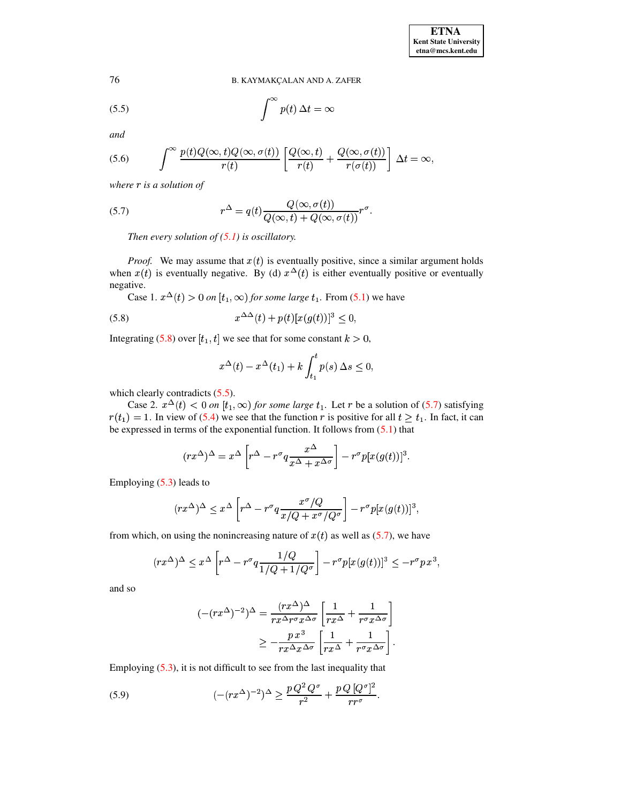76 B. KAYMAKCALAN AND A. ZAFER

<span id="page-5-1"></span>(5.5) 
$$
\int^{\infty} p(t) \, \Delta t = \infty
$$

*and*

<span id="page-5-4"></span>(5.6) 
$$
\int^{\infty} \frac{p(t)Q(\infty, t)Q(\infty, \sigma(t))}{r(t)} \left[ \frac{Q(\infty, t)}{r(t)} + \frac{Q(\infty, \sigma(t))}{r(\sigma(t))} \right] \Delta t = \infty,
$$

*where* <sup>¬</sup> *is a solution of*

(5.7) 
$$
r^{\Delta} = q(t) \frac{Q(\infty, \sigma(t))}{Q(\infty, t) + Q(\infty, \sigma(t))} r^{\sigma}.
$$

<span id="page-5-2"></span>*Then every solution of [\(5.1\)](#page-3-5) is oscillatory.*

*Proof.* We may assume that  $x(t)$  is eventually positive, since a similar argument holds when  $x(t)$  is eventually negative. By (d)  $x^{\Delta}(t)$  is either eventually positive or eventually negative.

<span id="page-5-0"></span>Case 1.  $x^{\Delta}(t) > 0$  on  $[t_1, \infty)$  for some large  $t_1$ . From [\(5.1\)](#page-3-5) we have

(5.8) 
$$
x^{\Delta\Delta}(t) + p(t)[x(g(t))]^3 \leq 0,
$$

Integrating [\(5.8\)](#page-5-0) over  $[t_1, t]$  we see that for some constant  $k > 0$ ,

$$
x^{\Delta}(t) - x^{\Delta}(t_1) + k \int_{t_1}^t p(s) \, \Delta s \le 0,
$$

which clearly contradicts  $(5.5)$ .

Case 2.  $x^{\Delta}(t) < 0$  on  $[t_1, \infty)$  for some large  $t_1$ . Let r be a solution of [\(5.7\)](#page-5-2) satisfying  $r(t_1) = 1$ . In view of [\(5.4\)](#page-4-1) we see that the function r is positive for all  $t \geq t_1$ . In fact, it can be expressed in terms of the exponential function. It follows from  $(5.1)$  that

$$
(rx^{\Delta})^{\Delta} = x^{\Delta} \left[ r^{\Delta} - r^{\sigma} q \frac{x^{\Delta}}{x^{\Delta} + x^{\Delta \sigma}} \right] - r^{\sigma} p[x(g(t))]^{3}.
$$

Employing [\(5.3\)](#page-4-2) leads to

$$
(rx^{\Delta})^{\Delta} \leq x^{\Delta} \left[ r^{\Delta} - r^{\sigma} q \frac{x^{\sigma} / Q}{x / Q + x^{\sigma} / Q^{\sigma}} \right] - r^{\sigma} p [x (g(t))]^{3},
$$

from which, on using the nonincreasing nature of  $x(t)$  as well as [\(5.7\)](#page-5-2), we have

$$
(rx^{\Delta})^{\Delta} \leq x^{\Delta} \left[ r^{\Delta} - r^{\sigma} q \frac{1/Q}{1/Q + 1/Q^{\sigma}} \right] - r^{\sigma} p[x(g(t))]^{3} \leq -r^{\sigma} p x^{3},
$$

and so

$$
(-(rx^{\Delta})^{-2})^{\Delta} = \frac{(rx^{\Delta})^{\Delta}}{rx^{\Delta}r^{\sigma}x^{\Delta\sigma}} \left[ \frac{1}{rx^{\Delta}} + \frac{1}{r^{\sigma}x^{\Delta\sigma}} \right]
$$

$$
\geq -\frac{px^3}{rx^{\Delta}x^{\Delta\sigma}} \left[ \frac{1}{rx^{\Delta}} + \frac{1}{r^{\sigma}x^{\Delta\sigma}} \right].
$$

Employing [\(5.3\)](#page-4-2), it is not difficult to see from the last inequality that

<span id="page-5-3"></span>(5.9) 
$$
(-(rx^{\Delta})^{-2})^{\Delta} \geq \frac{p Q^2 Q^{\sigma}}{r^2} + \frac{p Q [Q^{\sigma}]^2}{r r^{\sigma}}.
$$